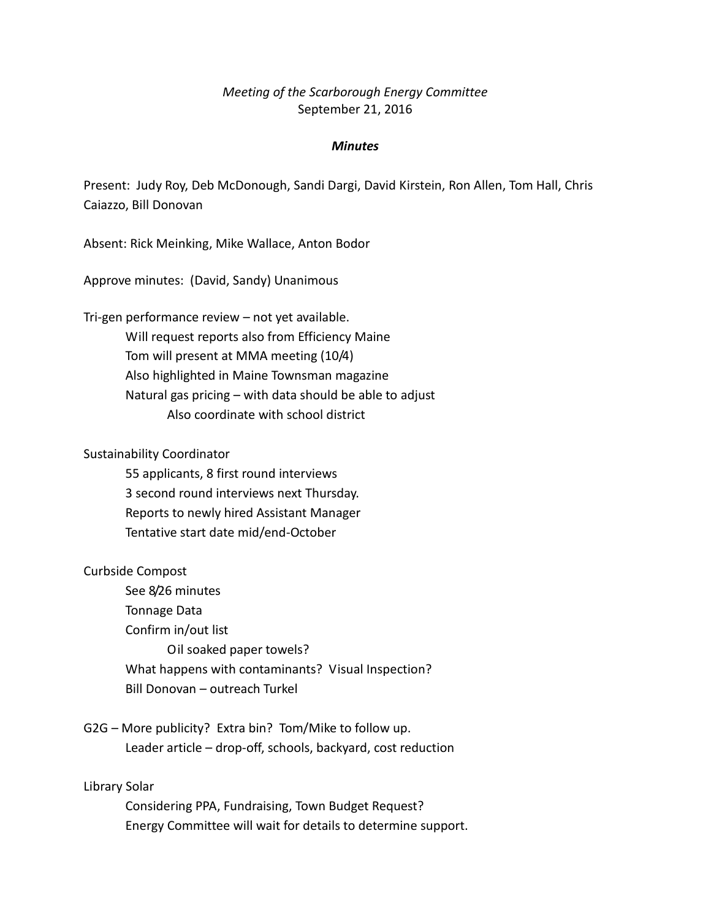## *Meeting of the Scarborough Energy Committee* September 21, 2016

#### *Minutes*

Present: Judy Roy, Deb McDonough, Sandi Dargi, David Kirstein, Ron Allen, Tom Hall, Chris Caiazzo, Bill Donovan

Absent: Rick Meinking, Mike Wallace, Anton Bodor

Approve minutes: (David, Sandy) Unanimous

Tri-gen performance review – not yet available. Will request reports also from Efficiency Maine Tom will present at MMA meeting (10/4) Also highlighted in Maine Townsman magazine Natural gas pricing – with data should be able to adjust Also coordinate with school district

Sustainability Coordinator

55 applicants, 8 first round interviews 3 second round interviews next Thursday. Reports to newly hired Assistant Manager Tentative start date mid/end-October

#### Curbside Compost

See 8/26 minutes Tonnage Data Confirm in/out list Oil soaked paper towels? What happens with contaminants? Visual Inspection? Bill Donovan – outreach Turkel

G2G – More publicity? Extra bin? Tom/Mike to follow up. Leader article – drop-off, schools, backyard, cost reduction

### Library Solar

Considering PPA, Fundraising, Town Budget Request? Energy Committee will wait for details to determine support.